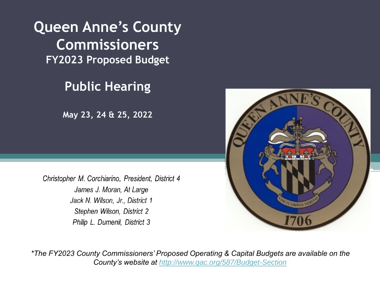**Queen Anne's County Commissioners FY2023 Proposed Budget**

#### **Public Hearing**

**May 23, 24 & 25, 2022**

Christopher M. Corchiarino, President, District 4 James J. Moran, At Large Jack N. Wilson, Jr., District 1 Stephen Wilson, District 2 Philip L. Dumenil, District 3



*\*The FY2023 County Commissioners' Proposed Operating & Capital Budgets are available on the County's website at<http://www.qac.org/587/Budget-Section>*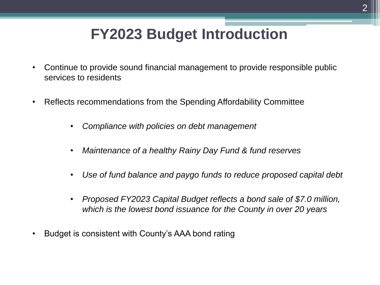### **FY2023 Budget Introduction**

- Continue to provide sound financial management to provide responsible public services to residents
- Reflects recommendations from the Spending Affordability Committee
	- *Compliance with policies on debt management*
	- *Maintenance of a healthy Rainy Day Fund & fund reserves*
	- *Use of fund balance and paygo funds to reduce proposed capital debt*
	- *Proposed FY2023 Capital Budget reflects a bond sale of \$7.0 million, which is the lowest bond issuance for the County in over 20 years*
- Budget is consistent with County's AAA bond rating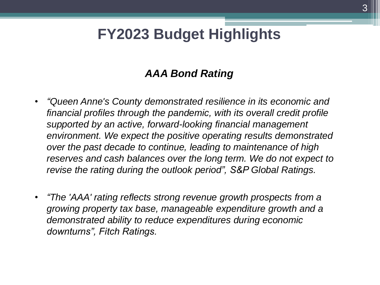## **FY2023 Budget Highlights**

#### *AAA Bond Rating*

- *"Queen Anne's County demonstrated resilience in its economic and financial profiles through the pandemic, with its overall credit profile supported by an active, forward-looking financial management environment. We expect the positive operating results demonstrated over the past decade to continue, leading to maintenance of high reserves and cash balances over the long term. We do not expect to revise the rating during the outlook period", S&P Global Ratings.*
- *"The 'AAA' rating reflects strong revenue growth prospects from a growing property tax base, manageable expenditure growth and a demonstrated ability to reduce expenditures during economic downturns", Fitch Ratings.*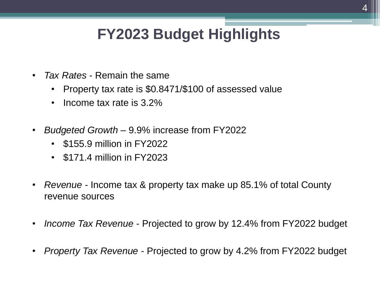# **FY2023 Budget Highlights**

- *Tax Rates*  Remain the same
	- Property tax rate is \$0.8471/\$100 of assessed value
	- Income tax rate is 3.2%
- *Budgeted Growth*  9.9% increase from FY2022
	- \$155.9 million in FY2022
	- \$171.4 million in FY2023
- *Revenue* Income tax & property tax make up 85.1% of total County revenue sources
- *Income Tax Revenue*  Projected to grow by 12.4% from FY2022 budget
- *Property Tax Revenue*  Projected to grow by 4.2% from FY2022 budget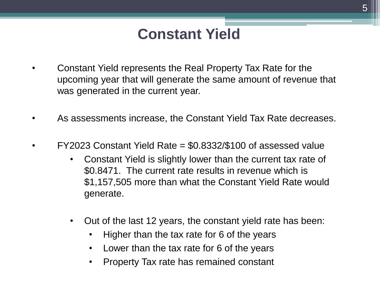#### **Constant Yield**

- Constant Yield represents the Real Property Tax Rate for the upcoming year that will generate the same amount of revenue that was generated in the current year.
- As assessments increase, the Constant Yield Tax Rate decreases.
- $FY2023$  Constant Yield Rate =  $$0.8332/$100$  of assessed value
	- Constant Yield is slightly lower than the current tax rate of \$0.8471. The current rate results in revenue which is \$1,157,505 more than what the Constant Yield Rate would generate.
	- Out of the last 12 years, the constant yield rate has been:
		- Higher than the tax rate for 6 of the years
		- Lower than the tax rate for 6 of the years
		- Property Tax rate has remained constant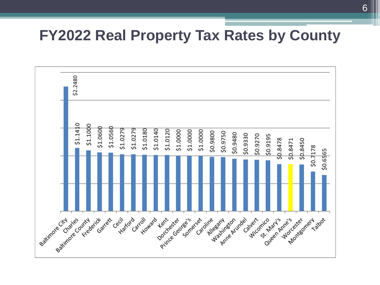#### **FY2022 Real Property Tax Rates by County**

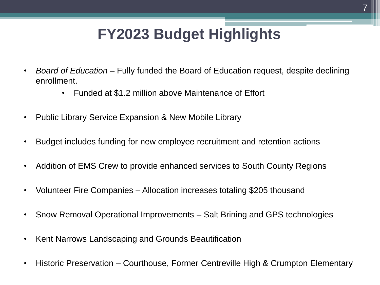# **FY2023 Budget Highlights**

- *Board of Education* Fully funded the Board of Education request, despite declining enrollment.
	- Funded at \$1.2 million above Maintenance of Effort
- Public Library Service Expansion & New Mobile Library
- Budget includes funding for new employee recruitment and retention actions
- Addition of EMS Crew to provide enhanced services to South County Regions
- Volunteer Fire Companies Allocation increases totaling \$205 thousand
- Snow Removal Operational Improvements Salt Brining and GPS technologies
- Kent Narrows Landscaping and Grounds Beautification
- Historic Preservation Courthouse, Former Centreville High & Crumpton Elementary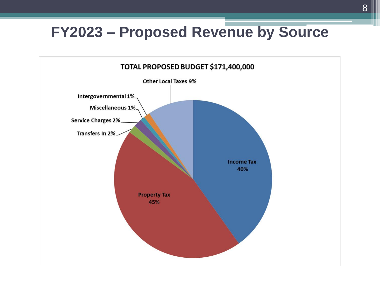## **FY2023 – Proposed Revenue by Source**

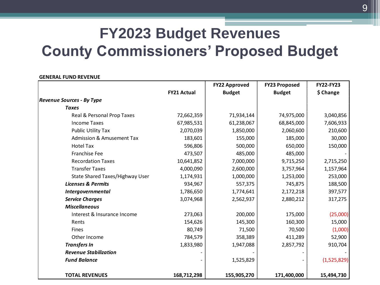#### **GENERAL FUND REVENUE**

|                                      |                    | <b>FY22 Approved</b> | <b>FY23 Proposed</b> | <b>FY22-FY23</b> |
|--------------------------------------|--------------------|----------------------|----------------------|------------------|
|                                      | <b>FY21 Actual</b> | <b>Budget</b>        | <b>Budget</b>        | \$ Change        |
| <b>Revenue Sources - By Type</b>     |                    |                      |                      |                  |
| <b>Taxes</b>                         |                    |                      |                      |                  |
| Real & Personal Prop Taxes           | 72,662,359         | 71,934,144           | 74,975,000           | 3,040,856        |
| <b>Income Taxes</b>                  | 67,985,531         | 61,238,067           | 68,845,000           | 7,606,933        |
| Public Utility Tax                   | 2,070,039          | 1,850,000            | 2,060,600            | 210,600          |
| <b>Admission &amp; Amusement Tax</b> | 183,601            | 155,000              | 185,000              | 30,000           |
| <b>Hotel Tax</b>                     | 596,806            | 500,000              | 650,000              | 150,000          |
| Franchise Fee                        | 473,507            | 485,000              | 485,000              |                  |
| <b>Recordation Taxes</b>             | 10,641,852         | 7,000,000            | 9,715,250            | 2,715,250        |
| <b>Transfer Taxes</b>                | 4,000,090          | 2,600,000            | 3,757,964            | 1,157,964        |
| State Shared Taxes/Highway User      | 1,174,931          | 1,000,000            | 1,253,000            | 253,000          |
| <b>Licenses &amp; Permits</b>        | 934,967            | 557,375              | 745,875              | 188,500          |
| Intergovernmental                    | 1,786,650          | 1,774,641            | 2,172,218            | 397,577          |
| <b>Service Charges</b>               | 3,074,968          | 2,562,937            | 2,880,212            | 317,275          |
| <b>Miscellaneous</b>                 |                    |                      |                      |                  |
| Interest & Insurance Income          | 273,063            | 200,000              | 175,000              | (25,000)         |
| Rents                                | 154,626            | 145,300              | 160,300              | 15,000           |
| <b>Fines</b>                         | 80,749             | 71,500               | 70,500               | (1,000)          |
| Other Income                         | 784,579            | 358,389              | 411,289              | 52,900           |
| <b>Transfers In</b>                  | 1,833,980          | 1,947,088            | 2,857,792            | 910,704          |
| <b>Revenue Stabilization</b>         |                    |                      |                      |                  |
| <b>Fund Balance</b>                  |                    | 1,525,829            |                      | (1,525,829)      |
| <b>TOTAL REVENUES</b>                | 168,712,298        | 155,905,270          | 171,400,000          | 15,494,730       |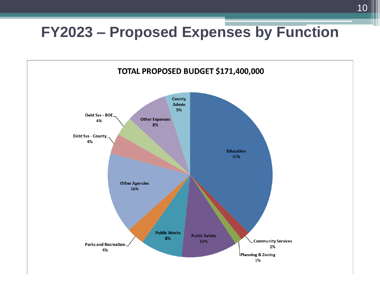## **FY2023 – Proposed Expenses by Function**

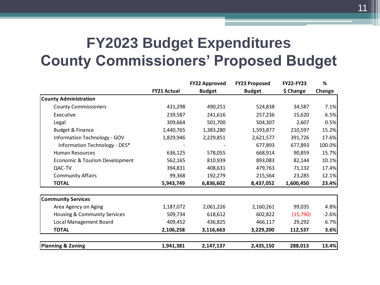|                                |                    | <b>FY22 Approved</b> | <b>FY23 Proposed</b> | <b>FY22-FY23</b> | %       |
|--------------------------------|--------------------|----------------------|----------------------|------------------|---------|
|                                | <b>FY21 Actual</b> | <b>Budget</b>        | <b>Budget</b>        | \$ Change        | Change  |
| <b>County Administration</b>   |                    |                      |                      |                  |         |
| <b>County Commissioners</b>    | 431,298            | 490,251              | 524,838              | 34,587           | 7.1%    |
| Executive                      | 239,587            | 241,616              | 257,236              | 15,620           | 6.5%    |
| Legal                          | 309,664            | 501,700              | 504,307              | 2,607            | 0.5%    |
| Budget & Finance               | 1,440,765          | 1,383,280            | 1,593,877            | 210,597          | 15.2%   |
| Information Technology - GOV   | 1,829,946          | 2,229,851            | 2,621,577            | 391,726          | 17.6%   |
| Information Technology - DES*  |                    |                      | 677,893              | 677,893          | 100.0%  |
| <b>Human Resources</b>         | 636,125            | 578,055              | 668,914              | 90,859           | 15.7%   |
| Economic & Tourism Development | 562,165            | 810,939              | 893,083              | 82,144           | 10.1%   |
| QAC-TV                         | 394,831            | 408,631              | 479,763              | 71,132           | 17.4%   |
| <b>Community Affairs</b>       | 99,368             | 192,279              | 215,564              | 23,285           | 12.1%   |
| <b>TOTAL</b>                   | 5,943,749          | 6,836,602            | 8,437,052            | 1,600,450        | 23.4%   |
|                                |                    |                      |                      |                  |         |
| <b>Community Services</b>      |                    |                      |                      |                  |         |
| Area Agency on Aging           | 1,187,072          | 2,061,226            | 2,160,261            | 99,035           | 4.8%    |
| Housing & Community Services   | 509,734            | 618,612              | 602,822              | (15,790)         | $-2.6%$ |
| Local Management Board         | 409,452            | 436,825              | 466,117              | 29,292           | 6.7%    |
| <b>TOTAL</b>                   | 2,106,258          | 3,116,663            | 3,229,200            | 112,537          | 3.6%    |
| <b>Planning &amp; Zoning</b>   | 1,941,381          | 2,147,137            | 2,435,150            | 288,013          | 13.4%   |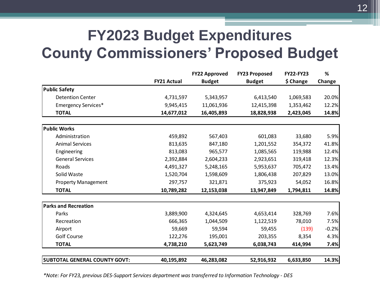|                                      |                    | <b>FY22 Approved</b> | <b>FY23 Proposed</b> | <b>FY22-FY23</b> | %       |
|--------------------------------------|--------------------|----------------------|----------------------|------------------|---------|
|                                      | <b>FY21 Actual</b> | <b>Budget</b>        | <b>Budget</b>        | \$ Change        | Change  |
| <b>Public Safety</b>                 |                    |                      |                      |                  |         |
| <b>Detention Center</b>              | 4,731,597          | 5,343,957            | 6,413,540            | 1,069,583        | 20.0%   |
| <b>Emergency Services*</b>           | 9,945,415          | 11,061,936           | 12,415,398           | 1,353,462        | 12.2%   |
| <b>TOTAL</b>                         | 14,677,012         | 16,405,893           | 18,828,938           | 2,423,045        | 14.8%   |
| <b>Public Works</b>                  |                    |                      |                      |                  |         |
| Administration                       | 459,892            | 567,403              | 601,083              | 33,680           | 5.9%    |
| <b>Animal Services</b>               | 813,635            | 847,180              | 1,201,552            | 354,372          | 41.8%   |
| Engineering                          | 813,083            | 965,577              | 1,085,565            | 119,988          | 12.4%   |
| <b>General Services</b>              | 2,392,884          | 2,604,233            | 2,923,651            | 319,418          | 12.3%   |
| Roads                                | 4,491,327          | 5,248,165            | 5,953,637            | 705,472          | 13.4%   |
| Solid Waste                          | 1,520,704          | 1,598,609            | 1,806,438            | 207,829          | 13.0%   |
| <b>Property Management</b>           | 297,757            | 321,871              | 375,923              | 54,052           | 16.8%   |
| <b>TOTAL</b>                         | 10,789,282         | 12,153,038           | 13,947,849           | 1,794,811        | 14.8%   |
| <b>Parks and Recreation</b>          |                    |                      |                      |                  |         |
| Parks                                | 3,889,900          | 4,324,645            | 4,653,414            | 328,769          | 7.6%    |
| Recreation                           | 666,365            | 1,044,509            | 1,122,519            | 78,010           | 7.5%    |
| Airport                              | 59,669             | 59,594               | 59,455               | (139)            | $-0.2%$ |
| Golf Course                          | 122,276            | 195,001              | 203,355              | 8,354            | 4.3%    |
| <b>TOTAL</b>                         | 4,738,210          | 5,623,749            | 6,038,743            | 414,994          | 7.4%    |
| <b>SUBTOTAL GENERAL COUNTY GOVT:</b> | 40,195,892         | 46,283,082           | 52,916,932           | 6,633,850        | 14.3%   |

*\*Note: For FY23, previous DES-Support Services department was transferred to Information Technology - DES*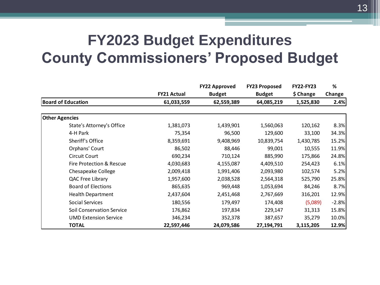|                                  |                    |               | <b>FY23 Proposed</b> | <b>FY22-FY23</b> | %       |
|----------------------------------|--------------------|---------------|----------------------|------------------|---------|
|                                  | <b>FY21 Actual</b> | <b>Budget</b> | <b>Budget</b>        | \$ Change        | Change  |
| <b>Board of Education</b>        | 61,033,559         | 62,559,389    | 64,085,219           | 1,525,830        | 2.4%    |
|                                  |                    |               |                      |                  |         |
| <b>Other Agencies</b>            |                    |               |                      |                  |         |
| State's Attorney's Office        | 1,381,073          | 1,439,901     | 1,560,063            | 120,162          | 8.3%    |
| 4-H Park                         | 75,354             | 96,500        | 129,600              | 33,100           | 34.3%   |
| Sheriff's Office                 | 8,359,691          | 9,408,969     | 10,839,754           | 1,430,785        | 15.2%   |
| Orphans' Court                   | 86,502             | 88,446        | 99,001               | 10,555           | 11.9%   |
| Circuit Court                    | 690,234            | 710,124       | 885,990              | 175,866          | 24.8%   |
| Fire Protection & Rescue         | 4,030,683          | 4,155,087     | 4,409,510            | 254,423          | 6.1%    |
| Chesapeake College               | 2,009,418          | 1,991,406     | 2,093,980            | 102,574          | 5.2%    |
| QAC Free Library                 | 1,957,600          | 2,038,528     | 2,564,318            | 525,790          | 25.8%   |
| <b>Board of Elections</b>        | 865,635            | 969,448       | 1,053,694            | 84,246           | 8.7%    |
| Health Department                | 2,437,604          | 2,451,468     | 2,767,669            | 316,201          | 12.9%   |
| Social Services                  | 180,556            | 179,497       | 174,408              | (5,089)          | $-2.8%$ |
| <b>Soil Conservation Service</b> | 176,862            | 197,834       | 229,147              | 31,313           | 15.8%   |
| <b>UMD Extension Service</b>     | 346,234            | 352,378       | 387,657              | 35,279           | 10.0%   |
| <b>TOTAL</b>                     | 22,597,446         | 24,079,586    | 27,194,791           | 3,115,205        | 12.9%   |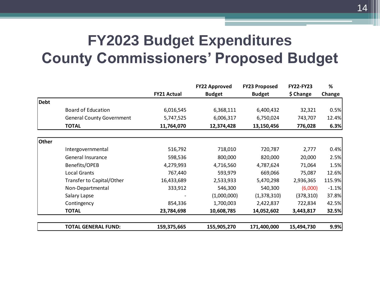|             |                                  |                    | <b>FY22 Approved</b> | <b>FY23 Proposed</b> | <b>FY22-FY23</b> | %       |
|-------------|----------------------------------|--------------------|----------------------|----------------------|------------------|---------|
|             |                                  | <b>FY21 Actual</b> | <b>Budget</b>        | <b>Budget</b>        | \$ Change        | Change  |
| <b>Debt</b> |                                  |                    |                      |                      |                  |         |
|             | Board of Education               | 6,016,545          | 6,368,111            | 6,400,432            | 32,321           | 0.5%    |
|             | <b>General County Government</b> | 5,747,525          | 6,006,317            | 6,750,024            | 743,707          | 12.4%   |
|             | <b>TOTAL</b>                     | 11,764,070         | 12,374,428           | 13,150,456           | 776,028          | 6.3%    |
| Other       |                                  |                    |                      |                      |                  |         |
|             | Intergovernmental                | 516,792            | 718,010              | 720,787              | 2,777            | 0.4%    |
|             | General Insurance                | 598,536            | 800,000              | 820,000              | 20,000           | 2.5%    |
|             | Benefits/OPEB                    | 4,279,993          | 4,716,560            | 4,787,624            | 71,064           | 1.5%    |
|             | <b>Local Grants</b>              | 767,440            | 593,979              | 669,066              | 75,087           | 12.6%   |
|             | Transfer to Capital/Other        | 16,433,689         | 2,533,933            | 5,470,298            | 2,936,365        | 115.9%  |
|             | Non-Departmental                 | 333,912            | 546,300              | 540,300              | (6,000)          | $-1.1%$ |
|             | Salary Lapse                     |                    | (1,000,000)          | (1,378,310)          | (378, 310)       | 37.8%   |
|             | Contingency                      | 854,336            | 1,700,003            | 2,422,837            | 722,834          | 42.5%   |
|             | <b>TOTAL</b>                     | 23,784,698         | 10,608,785           | 14,052,602           | 3,443,817        | 32.5%   |
|             | <b>TOTAL GENERAL FUND:</b>       | 159,375,665        | 155,905,270          | 171,400,000          | 15,494,730       | 9.9%    |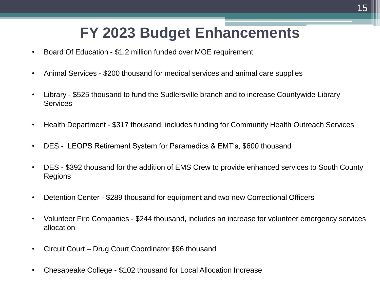## **FY 2023 Budget Enhancements**

- Board Of Education \$1.2 million funded over MOE requirement
- Animal Services \$200 thousand for medical services and animal care supplies
- Library \$525 thousand to fund the Sudlersville branch and to increase Countywide Library **Services**
- Health Department \$317 thousand, includes funding for Community Health Outreach Services
- DES LEOPS Retirement System for Paramedics & EMT's, \$600 thousand
- DES \$392 thousand for the addition of EMS Crew to provide enhanced services to South County Regions
- Detention Center \$289 thousand for equipment and two new Correctional Officers
- Volunteer Fire Companies \$244 thousand, includes an increase for volunteer emergency services allocation
- Circuit Court Drug Court Coordinator \$96 thousand
- Chesapeake College \$102 thousand for Local Allocation Increase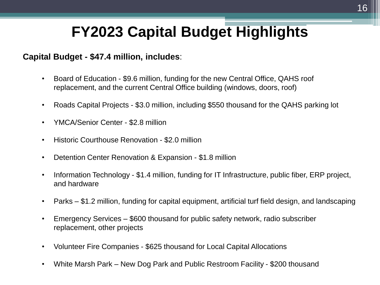# **FY2023 Capital Budget Highlights**

#### **Capital Budget - \$47.4 million, includes**:

- Board of Education \$9.6 million, funding for the new Central Office, QAHS roof replacement, and the current Central Office building (windows, doors, roof)
- Roads Capital Projects \$3.0 million, including \$550 thousand for the QAHS parking lot
- YMCA/Senior Center \$2.8 million
- Historic Courthouse Renovation \$2.0 million
- Detention Center Renovation & Expansion \$1.8 million
- Information Technology \$1.4 million, funding for IT Infrastructure, public fiber, ERP project, and hardware
- Parks \$1.2 million, funding for capital equipment, artificial turf field design, and landscaping
- Emergency Services \$600 thousand for public safety network, radio subscriber replacement, other projects
- Volunteer Fire Companies \$625 thousand for Local Capital Allocations
- White Marsh Park New Dog Park and Public Restroom Facility \$200 thousand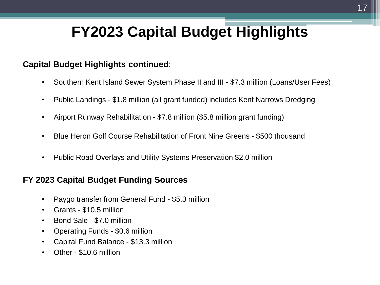## **FY2023 Capital Budget Highlights**

#### **Capital Budget Highlights continued**:

- Southern Kent Island Sewer System Phase II and III \$7.3 million (Loans/User Fees)
- Public Landings \$1.8 million (all grant funded) includes Kent Narrows Dredging
- Airport Runway Rehabilitation \$7.8 million (\$5.8 million grant funding)
- Blue Heron Golf Course Rehabilitation of Front Nine Greens \$500 thousand
- Public Road Overlays and Utility Systems Preservation \$2.0 million

#### **FY 2023 Capital Budget Funding Sources**

- Paygo transfer from General Fund \$5.3 million
- Grants \$10.5 million
- Bond Sale \$7.0 million
- Operating Funds \$0.6 million
- Capital Fund Balance \$13.3 million
- Other \$10.6 million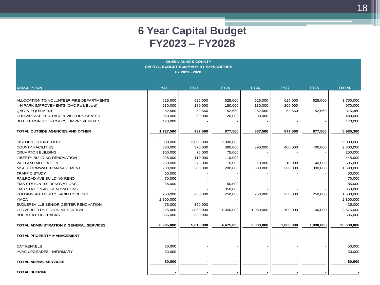| <b>QUEEN ANNE'S COUNTY</b>                         |             |             |             |             |             |             |              |  |  |
|----------------------------------------------------|-------------|-------------|-------------|-------------|-------------|-------------|--------------|--|--|
| <b>CAPITAL BUDGET SUMMARY BY EXPENDITURE</b>       |             |             |             |             |             |             |              |  |  |
| FY 2023 - 2028                                     |             |             |             |             |             |             |              |  |  |
|                                                    |             |             |             |             |             |             |              |  |  |
|                                                    |             |             |             |             |             |             |              |  |  |
| <b>DESCRIPTION</b>                                 | <b>FY23</b> | <b>FY24</b> | <b>FY25</b> | <b>FY26</b> | <b>FY27</b> | <b>FY28</b> | <b>TOTAL</b> |  |  |
|                                                    |             |             |             |             |             |             |              |  |  |
| ALLOCATION TO VOLUNTEER FIRE DEPARTMENTS           | 625,000     | 625,000     | 625,000     | 625,000     | 625,000     | 625,000     | 3,750,000    |  |  |
| 4-H PARK IMPROVEMENTS (QAC Park Board)             | 230,000     | 180,000     | 180,000     | 180,000     | 200,000     |             | 970,000      |  |  |
| <b>QACTV EQUIPMENT</b>                             | 52,560      | 52,560      | 52,560      | 52,560      | 52,560      | 52,560      | 315,360      |  |  |
| CHESAPEAKE HERITAGE & VISITORS CENTER              | 350,000     | 80,000      | 20,000      | 30,000      |             |             | 480,000      |  |  |
| BLUE HERON GOLF COURSE IMPROVEMENTS                | 470,000     |             |             |             |             |             | 470,000      |  |  |
|                                                    |             |             |             |             |             |             |              |  |  |
| TOTAL OUTSIDE AGENCIES AND OTHER                   | 1,727,560   | 937,560     | 877,560     | 887,560     | 877,560     | 677,560     | 5,985,360    |  |  |
|                                                    |             |             |             |             |             |             |              |  |  |
| <b>HISTORIC COURTHOUSE</b>                         | 2,000,000   | 2,000,000   | 2,000,000   |             |             |             | 6,000,000    |  |  |
| <b>COUNTY FACILITIES</b>                           | 360,000     | 370,000     | 380,000     | 390,000     | 400,000     | 400,000     | 2,300,000    |  |  |
| <b>CRUMPTON BUILDING</b>                           | 100,000     | 75,000      | 75,000      |             |             |             | 250,000      |  |  |
| LIBERTY BUILDING RENOVATION                        | 225,000     | 110,000     | 110,000     |             |             |             | 445,000      |  |  |
| <b>WETLAND MITIGATION</b>                          | 250,000     | 275,000     | 10,000      | 10,000      | 10,000      | 40,000      | 595,000      |  |  |
| <b>MS4 STORMWATER MANAGEMENT</b>                   | 200,000     | 200,000     | 200,000     | 300,000     | 300,000     | 300,000     | 1,500,000    |  |  |
| <b>TRAFFIC STUDY</b>                               | 50,000      |             |             |             |             |             | 50,000       |  |  |
| RAILROAD AVE BUILDING RENO                         | 70,000      |             |             |             |             |             | 70,000       |  |  |
| <b>EMS STATON 100 RENOVATIONS</b>                  | 35,000      |             | 50,000      |             |             |             | 85,000       |  |  |
| <b>EMS STATION 400 RENOVATIONS</b>                 |             |             | 350,000     |             |             |             | 350,000      |  |  |
| HOUSING AUTHORITY FACILITY RECAP                   | 250,000     | 250,000     | 250,000     | 250,000     | 250,000     | 250,000     | 1,500,000    |  |  |
| <b>YMCA</b>                                        | 2,800,000   |             |             |             |             |             | 2,800,000    |  |  |
| SUDLERSVILLE SENIOR CENTER RENOVATION              | 75,000      | 350,000     |             |             |             |             | 425,000      |  |  |
| <b>CLOVERFIELDS FLOOD MITIGATION</b>               | 225,000     | 1,050,000   | 1,050,000   | 1,050,000   | 100,000     | 100,000     | 3,575,000    |  |  |
| <b>BOE ATHLETIC TRACKS</b>                         | 355,000     | 330,000     |             |             |             |             | 685,000      |  |  |
|                                                    |             |             |             |             |             |             |              |  |  |
| <b>TOTAL ADMINISTRATION &amp; GENERAL SERVICES</b> | 6,995,000   | 5,010,000   | 4,475,000   | 2,000,000   | 1,060,000   | 1,090,000   | 20,630,000   |  |  |
| TOTAL PROPERTY MANAGEMENT                          |             |             |             |             |             |             |              |  |  |
|                                                    |             |             |             |             |             |             |              |  |  |
| <b>CAT KENNELS</b>                                 | 50,000      |             |             |             |             |             | 50,000       |  |  |
| <b>HVAC UPGRADES - INFIRMARY</b>                   | 30,000      |             |             |             |             |             | 30,000       |  |  |
|                                                    |             |             |             |             |             |             |              |  |  |
| <b>TOTAL ANIMAL SERVICES</b>                       | 80,000      |             |             |             |             |             | 80,000       |  |  |
|                                                    |             |             |             |             |             |             |              |  |  |
| <b>TOTAL SHERIFF</b>                               |             |             |             |             |             |             |              |  |  |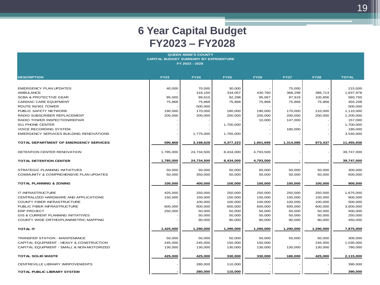| <b>QUEEN ANNE'S COUNTY</b>                    |             |             |             |             |             |             |              |  |  |
|-----------------------------------------------|-------------|-------------|-------------|-------------|-------------|-------------|--------------|--|--|
| <b>CAPITAL BUDGET SUMMARY BY EXPENDITURE</b>  |             |             |             |             |             |             |              |  |  |
| FY 2023 - 2028                                |             |             |             |             |             |             |              |  |  |
|                                               |             |             |             |             |             |             |              |  |  |
| <b>DESCRIPTION</b>                            | <b>FY23</b> | <b>FY24</b> | <b>FY25</b> | <b>FY26</b> | <b>FY27</b> | <b>FY28</b> | <b>TOTAL</b> |  |  |
|                                               |             |             |             |             |             |             |              |  |  |
|                                               |             |             |             |             |             |             |              |  |  |
| <b>EMERGENCY PLAN UPDATES</b>                 | 40,000      | 70,000      | 30,000      |             | 75,000      |             | 215,000      |  |  |
| <b>AMBULANCE</b>                              |             | 318,150     | 334,057     | 430,760     | 368,298     | 386,713     | 1,837,978    |  |  |
| <b>SCBA &amp; PROTECTIVE GEAR</b>             | 85,000      | 89,610      | 92,298      | 95,067      | 97,919      | 100,856     | 560,750      |  |  |
| CARDIAC CARE EQUIPMENT                        | 75,868      | 75,868      | 75,868      | 75,868      | 75,868      | 75,868      | 455,208      |  |  |
| ROUTE 50/301 TOWER                            |             | 500,000     |             |             |             |             | 500,000      |  |  |
| PUBLIC SAFETY NETWORK                         | 190,000     | 170,000     | 180,000     | 190,000     | 170,000     | 210,000     | 1,110,000    |  |  |
| RADIO SUBSCRIBER REPLACEMENT                  | 200,000     | 200,000     | 200,000     | 200,000     | 200,000     | 200,000     | 1,200,000    |  |  |
| RADIO TOWER INSPECTION/REPAIR                 |             |             |             | 10,000      | 147,000     |             | 157,000      |  |  |
| 911 PHONE CENTER                              |             |             | 1,700,000   |             |             |             | 1,700,000    |  |  |
| <b>VOICE RECORDING SYSTEM</b>                 |             |             |             |             | 180,000     |             | 180,000      |  |  |
| EMERGENCY SERVICES BUILDING RENOVATIONS       |             | 1,775,000   | 1,765,000   |             |             |             | 3,540,000    |  |  |
|                                               |             |             |             |             |             |             |              |  |  |
| <b>TOTAL DEPARTMENT OF EMERGENCY SERVICES</b> | 590,868     | 3,198,628   | 4,377,223   | 1,001,695   | 1,314,085   | 973,437     | 11,455,936   |  |  |
|                                               |             |             |             |             |             |             |              |  |  |
| DETENTION CENTER RENOVATION                   | 1,785,000   | 24,734,500  | 8,434,000   | 4,793,500   |             |             | 39,747,000   |  |  |
|                                               |             |             |             |             |             |             |              |  |  |
| <b>TOTAL DETENTION CENTER</b>                 | 1,785,000   | 24,734,500  | 8,434,000   | 4,793,500   |             |             | 39,747,000   |  |  |
|                                               |             |             |             |             |             |             |              |  |  |
| STRATEGIC PLANNING INITIATIVES                | 50,000      | 50,000      | 50,000      | 50,000      | 50,000      | 50,000      | 300,000      |  |  |
| COMMUNITY & COMPREHENSIVE PLAN UPDATES        | 50,000      | 350,000     | 50,000      | 50,000      | 50,000      | 50,000      | 600,000      |  |  |
|                                               |             |             |             |             |             |             |              |  |  |
| <b>TOTAL PLANNING &amp; ZONING</b>            | 100,000     | 400,000     | 100,000     | 100,000     | 100,000     | 100,000     | 900,000      |  |  |
|                                               |             |             |             |             |             |             |              |  |  |
| IT INFRASTRUCTURE                             | 425,000     | 250,000     | 250,000     | 250,000     | 250,000     | 250,000     | 1,675,000    |  |  |
| CENTRALIZED HARDWARE AND APPLICATIONS         | 150,000     | 150,000     | 150,000     | 150,000     | 150,000     | 150,000     | 900,000      |  |  |
| COUNTY FIBER INFRASTRUCTURE                   |             | 100,000     | 100,000     | 100,000     | 100,000     | 100,000     | 500,000      |  |  |
| PUBLIC FIBER INFRASTRUCTURE                   | 600,000     | 600,000     | 600,000     | 600,000     | 600,000     | 600,000     | 3,600,000    |  |  |
| <b>ERP PROJECT</b>                            | 250,000     | 50,000      | 50,000      | 50,000      | 50,000      | 50,000      | 500,000      |  |  |
| <b>GIS &amp; CURRENT PLANNING INITIATIVES</b> |             | 50,000      | 50,000      | 50,000      | 50,000      | 50,000      | 250,000      |  |  |
| COUNTY WIDE ORTHO/PLANIMETRIC MAPPING         |             | 90,000      | 90,000      | 90,000      | 90,000      | 90,000      | 450,000      |  |  |
|                                               |             |             |             |             |             |             |              |  |  |
| <b>TOTAL IT</b>                               | 1,425,000   | 1,290,000   | 1,290,000   | 1,290,000   | 1,290,000   | 1,290,000   | 7,875,000    |  |  |
|                                               |             |             |             |             |             |             |              |  |  |
| TRANSFER STATION - MAINTENANCE                | 50,000      | 50,000      | 50,000      | 50,000      | 50,000      | 50,000      | 300,000      |  |  |
| CAPITAL EQUIPMENT - HEAVY & CONSTRUCTION      | 245,000     | 245,000     | 150,000     | 150,000     |             | 245,000     | 1,035,000    |  |  |
| CAPITAL EQUIPMENT - SMALL & NON-MOTORIZED     | 130,000     | 130,000     | 130,000     | 130,000     | 130,000     | 130,000     | 780,000      |  |  |
|                                               |             |             |             |             |             |             |              |  |  |
| <b>TOTAL SOLID WASTE</b>                      | 425,000     | 425,000     | 330,000     | 330,000     | 180,000     | 425,000     | 2,115,000    |  |  |
|                                               |             |             |             |             |             |             |              |  |  |
| CENTREVILLE LIBRARY IMRPOVEMENTS              |             | 280,000     | 110,000     |             |             |             | 390,000      |  |  |
|                                               |             |             |             |             |             |             |              |  |  |
| <b>TOTAL PUBLIC LIBRARY SYSTEM</b>            |             | 280,000     | 110,000     |             |             |             | 390,000      |  |  |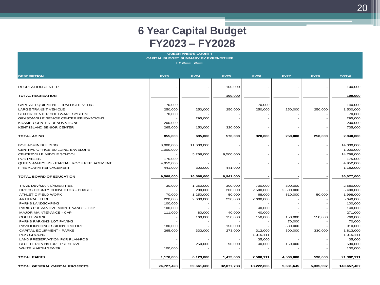| <b>QUEEN ANNE'S COUNTY</b>                                     |            |                   |                   |            |           |           |                    |  |                    |             |             |             |             |             |             |              |
|----------------------------------------------------------------|------------|-------------------|-------------------|------------|-----------|-----------|--------------------|--|--------------------|-------------|-------------|-------------|-------------|-------------|-------------|--------------|
| <b>CAPITAL BUDGET SUMMARY BY EXPENDITURE</b><br>FY 2023 - 2028 |            |                   |                   |            |           |           |                    |  |                    |             |             |             |             |             |             |              |
|                                                                |            |                   |                   |            |           |           |                    |  | <b>DESCRIPTION</b> | <b>FY23</b> | <b>FY24</b> | <b>FY25</b> | <b>FY26</b> | <b>FY27</b> | <b>FY28</b> | <b>TOTAL</b> |
|                                                                |            |                   |                   |            |           |           |                    |  |                    |             |             |             |             |             |             |              |
| <b>RECREATION CENTER</b>                                       |            |                   | 100,000           |            |           |           | 100,000            |  |                    |             |             |             |             |             |             |              |
|                                                                |            |                   |                   |            |           |           |                    |  |                    |             |             |             |             |             |             |              |
| <b>TOTAL RECREATION</b>                                        |            |                   | 100,000           |            |           |           | 100,000            |  |                    |             |             |             |             |             |             |              |
|                                                                |            |                   |                   |            |           |           |                    |  |                    |             |             |             |             |             |             |              |
| CAPITAL EQUIPMENT - HDM LIGHT VEHICLE                          | 70,000     |                   |                   | 70,000     |           |           | 140,000            |  |                    |             |             |             |             |             |             |              |
| <b>LARGE TRANSIT VEHICLE</b>                                   | 250,000    | 250,000           | 250,000           | 250,000    | 250,000   | 250,000   | 1,500,000          |  |                    |             |             |             |             |             |             |              |
| SENIOR CENTER SOFTWARE SYSTEM                                  | 70,000     |                   |                   |            |           |           | 70,000             |  |                    |             |             |             |             |             |             |              |
| <b>GRASONVILLE SENIOR CENTER RENOVATIONS</b>                   |            | 295,000           |                   |            |           |           | 295,000            |  |                    |             |             |             |             |             |             |              |
| <b>KRAMER CENTER RENOVATIONS</b>                               | 200,000    |                   |                   |            |           |           | 200,000            |  |                    |             |             |             |             |             |             |              |
| KENT ISLAND SENIOR CENTER                                      | 265,000    | 150,000           | 320,000           |            |           |           | 735,000            |  |                    |             |             |             |             |             |             |              |
|                                                                |            |                   |                   |            |           |           |                    |  |                    |             |             |             |             |             |             |              |
| <b>TOTAL AGING</b>                                             | 855,000    | 695,000           | 570,000           | 320,000    | 250,000   | 250,000   | 2,940,000          |  |                    |             |             |             |             |             |             |              |
|                                                                |            |                   |                   |            |           |           |                    |  |                    |             |             |             |             |             |             |              |
| <b>BOE ADMIN BUILDING</b>                                      | 3,000,000  | 11,000,000        |                   |            |           |           | 14,000,000         |  |                    |             |             |             |             |             |             |              |
| CENTRAL OFFICE BUILDING ENVELOPE                               | 1,000,000  |                   |                   |            |           |           | 1,000,000          |  |                    |             |             |             |             |             |             |              |
| CENTREVILLE MIDDLE SCHOOL                                      |            | 5,268,000         | 9,500,000         |            |           |           | 14,768,000         |  |                    |             |             |             |             |             |             |              |
| <b>PORTABLES</b>                                               | 175,000    |                   |                   |            |           |           | 175,000            |  |                    |             |             |             |             |             |             |              |
| QUEEN ANNE'S HS - PARTIAL ROOF REPLACEMENT                     | 4,952,000  |                   |                   |            |           |           | 4,952,000          |  |                    |             |             |             |             |             |             |              |
| FIRE ALARM REPLACEMENT                                         | 441,000    | 300,000           | 441,000           |            |           |           | 1,182,000          |  |                    |             |             |             |             |             |             |              |
|                                                                |            |                   |                   |            |           |           |                    |  |                    |             |             |             |             |             |             |              |
| TOTAL BOARD OF EDUCATION                                       | 9,568,000  | 16,568,000        | 9,941,000         |            |           |           | 36,077,000         |  |                    |             |             |             |             |             |             |              |
|                                                                |            |                   |                   |            |           |           |                    |  |                    |             |             |             |             |             |             |              |
| <b>TRAIL DEV/MAINT/AMENITIES</b>                               | 30,000     | 1,250,000         | 300,000           | 700,000    | 300,000   |           | 2,580,000          |  |                    |             |             |             |             |             |             |              |
| CROSS COUNTY CONNECTOR - PHASE II                              |            | 200,000           | 200,000           | 2,500,000  | 2,500,000 |           | 5,400,000          |  |                    |             |             |             |             |             |             |              |
| ATHLETIC FIELD WORK                                            | 70,000     | 1,250,000         | 50,000            | 68,000     | 510,000   | 50,000    | 1,998,000          |  |                    |             |             |             |             |             |             |              |
| <b>ARTIFICAL TURF</b>                                          | 220,000    | 2,600,000         | 220,000           | 2,600,000  |           |           | 5,640,000          |  |                    |             |             |             |             |             |             |              |
| <b>PARKS LANDSCAPING</b>                                       | 100,000    |                   |                   |            |           |           | 100,000            |  |                    |             |             |             |             |             |             |              |
| PARKS PREVANTIVE MAINTENANCE - EXP                             | 100,000    |                   |                   | 40,000     |           |           | 140,000            |  |                    |             |             |             |             |             |             |              |
| <b>MAJOR MAINTENANCE - CAP</b><br><b>COURT WORK</b>            | 111,000    | 80,000<br>160,000 | 40,000<br>150,000 | 40,000     |           | 150,000   | 271,000<br>760,000 |  |                    |             |             |             |             |             |             |              |
| PARKS PARKING LOT PAVING                                       |            |                   |                   | 150,000    | 150,000   |           |                    |  |                    |             |             |             |             |             |             |              |
| PAVILION/CONCESSION/COMFORT                                    |            |                   |                   |            | 70,000    |           | 70,000             |  |                    |             |             |             |             |             |             |              |
|                                                                | 180,000    |                   | 150,000           |            | 580,000   |           | 910,000            |  |                    |             |             |             |             |             |             |              |
| CAPITAL EQUIPMENT - PARKS                                      | 265,000    | 333,000           | 273,000           | 312,000    | 300,000   | 330,000   | 1,813,000          |  |                    |             |             |             |             |             |             |              |
| PLAYGROUND<br>LAND PRESERVATION P&R PLAN-POS                   |            |                   |                   | 1,015,111  |           |           | 1,015,111          |  |                    |             |             |             |             |             |             |              |
| BLUE HERON NATURE PRESERVE                                     |            |                   |                   | 35,000     |           |           | 35,000             |  |                    |             |             |             |             |             |             |              |
|                                                                |            | 250,000           | 90,000            | 40,000     | 150,000   |           | 530,000            |  |                    |             |             |             |             |             |             |              |
| WHITE MARSH SEWER                                              | 100,000    |                   |                   |            |           |           | 100,000            |  |                    |             |             |             |             |             |             |              |
| <b>TOTAL PARKS</b>                                             | 1,176,000  | 6,123,000         | 1,473,000         | 7,500,111  | 4,560,000 | 530,000   | 21,362,111         |  |                    |             |             |             |             |             |             |              |
|                                                                |            |                   |                   |            |           |           |                    |  |                    |             |             |             |             |             |             |              |
| <b>TOTAL GENERAL CAPITAL PROJECTS</b>                          | 24,727,428 | 59,661,688        | 32,077,783        | 18,222,866 | 9,631,645 | 5,335,997 | 149,657,407        |  |                    |             |             |             |             |             |             |              |
|                                                                |            |                   |                   |            |           |           |                    |  |                    |             |             |             |             |             |             |              |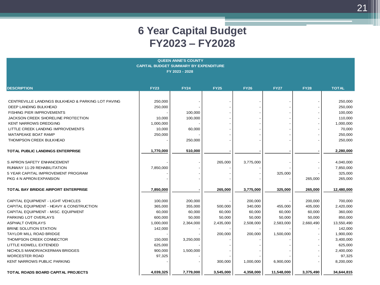| <b>QUEEN ANNE'S COUNTY</b>                         |             |                |             |             |             |             |              |  |
|----------------------------------------------------|-------------|----------------|-------------|-------------|-------------|-------------|--------------|--|
| <b>CAPITAL BUDGET SUMMARY BY EXPENDITURE</b>       |             |                |             |             |             |             |              |  |
|                                                    |             | FY 2023 - 2028 |             |             |             |             |              |  |
|                                                    |             |                |             |             |             |             |              |  |
| <b>DESCRIPTION</b>                                 | <b>FY23</b> | <b>FY24</b>    | <b>FY25</b> | <b>FY26</b> | <b>FY27</b> | <b>FY28</b> | <b>TOTAL</b> |  |
|                                                    |             |                |             |             |             |             |              |  |
| CENTREVILLE LANDINGS BULKHEAD & PARKING LOT PAVING | 250,000     |                |             |             |             |             | 250,000      |  |
| DEEP LANDING BULKHEAD                              | 250,000     |                |             |             |             |             | 250,000      |  |
| <b>FISHING PIER IMPROVEMENTS</b>                   |             | 100,000        |             |             |             |             | 100,000      |  |
| <b>JACKSON CREEK SHORELINE PROTECTION</b>          | 10,000      | 100,000        |             |             |             |             | 110,000      |  |
| <b>KENT NARROWS DREDGING</b>                       | 1,000,000   |                |             |             |             |             | 1,000,000    |  |
| LITTLE CREEK LANDING IMPROVEMENTS                  | 10,000      | 60,000         |             |             |             |             | 70,000       |  |
| MATAPEAKE BOAT RAMP                                | 250,000     |                |             |             |             |             | 250,000      |  |
| THOMPSON CREEK BULKHEAD                            |             | 250,000        |             |             |             |             | 250,000      |  |
|                                                    |             |                |             |             |             |             |              |  |
| TOTAL PUBLIC LANDINGS ENTERPRISE                   | 1,770,000   | 510,000        |             |             |             |             | 2,280,000    |  |
| S APRON SAFETY ENHANCEMENT                         |             |                | 265,000     | 3,775,000   |             |             | 4,040,000    |  |
| RUNWAY 11-29 REHABILITATION                        | 7,850,000   |                |             |             |             |             | 7,850,000    |  |
| 5 YEAR CAPITAL IMPROVEMENT PROGRAM                 |             |                |             |             | 325,000     |             | 325,000      |  |
| PKG 4 N APRON EXPANSION                            |             |                |             |             |             | 265,000     | 265,000      |  |
| <b>TOTAL BAY BRIDGE AIRPORT ENTERPRISE</b>         | 7,850,000   |                | 265,000     | 3,775,000   | 325,000     | 265,000     | 12,480,000   |  |
|                                                    |             |                |             |             |             |             |              |  |
| CAPITAL EQUIPMENT - LIGHT VEHICLES                 | 100,000     | 200,000        |             | 200,000     |             | 200,000     | 700,000      |  |
| CAPITAL EQUIPMENT - HEAVY & CONSTRUCTION           | 365,000     | 355,000        | 500,000     | 340,000     | 455,000     | 405,000     | 2,420,000    |  |
| CAPITAL EQUIPMENT - MISC. EQUIPMENT                | 60,000      | 60,000         | 60,000      | 60,000      | 60,000      | 60,000      | 360,000      |  |
| PARKING LOT OVERLAYS                               | 600,000     | 50,000         | 50,000      | 50,000      | 50,000      | 50,000      | 850,000      |  |
| <b>ASPHALT OVERLAYS</b>                            | 1,000,000   | 2,364,000      | 2,435,000   | 2,508,000   | 2,583,000   | 2,660,490   | 13,550,490   |  |
| <b>BRINE SOLUTION STATION</b>                      | 142,000     |                |             |             |             |             | 142,000      |  |
| <b>TAYLOR MILL ROAD BRIDGE</b>                     |             |                | 200,000     | 200,000     | 1,500,000   |             | 1,900,000    |  |
| THOMPSON CREEK CONNECTOR                           | 150,000     | 3,250,000      |             |             |             |             | 3,400,000    |  |
| LITTLE KIDWELL EXTENDED                            | 625,000     |                |             |             |             |             | 625,000      |  |
| NICHOLS MANOR/ACKERMAN BRIDGES                     | 900,000     | 1,500,000      |             |             |             |             | 2,400,000    |  |
| <b>WORCESTER ROAD</b>                              | 97,325      |                |             |             |             |             | 97,325       |  |
| <b>KENT NARROWS PUBLIC PARKING</b>                 |             |                | 300,000     | 1,000,000   | 6,900,000   |             | 8,200,000    |  |
| TOTAL ROADS BOARD CAPITAL PROJECTS                 | 4,039,325   | 7,779,000      | 3,545,000   | 4,358,000   | 11,548,000  | 3,375,490   | 34,644,815   |  |
|                                                    |             |                |             |             |             |             |              |  |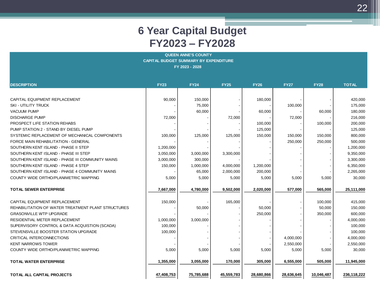| <b>QUEEN ANNE'S COUNTY</b><br><b>CAPITAL BUDGET SUMMARY BY EXPENDITURE</b><br>FY 2023 - 2028 |             |             |             |             |             |             |              |
|----------------------------------------------------------------------------------------------|-------------|-------------|-------------|-------------|-------------|-------------|--------------|
| <b>DESCRIPTION</b>                                                                           | <b>FY23</b> | <b>FY24</b> | <b>FY25</b> | <b>FY26</b> | <b>FY27</b> | <b>FY28</b> | <b>TOTAL</b> |
|                                                                                              |             |             |             |             |             |             |              |
| CAPITAL EQUIPMENT REPLACEMENT                                                                | 90,000      | 150,000     |             | 180,000     |             |             | 420,000      |
| SKI - UTILITY TRUCK                                                                          |             | 75,000      |             |             | 100,000     |             | 175,000      |
| <b>VACUUM PUMP</b>                                                                           |             | 60,000      |             | 60,000      |             | 60,000      | 180,000      |
| <b>DISCHARGE PUMP</b>                                                                        | 72,000      |             | 72,000      |             | 72,000      |             | 216,000      |
| PROSPECT LIFE STATION REHABS                                                                 |             |             |             | 100,000     |             | 100,000     | 200,000      |
| PUMP STATION 2 - STAND BY DIESEL PUMP                                                        |             |             |             | 125,000     |             |             | 125,000      |
| SYSTEMIC REPLACEMENT OF MECHANICAL COMPONENTS                                                | 100,000     | 125,000     | 125,000     | 150,000     | 150,000     | 150,000     | 800,000      |
| FORCE MAIN REHABILITATION - GENERAL                                                          |             |             |             |             | 250,000     | 250,000     | 500,000      |
| SOUTHERN KENT ISLAND - PHASE II STEP                                                         | 1,200,000   |             |             |             |             |             | 1,200,000    |
| SOUTHERN KENT ISLAND - PHASE III STEP                                                        | 3,050,000   | 3,000,000   | 3,300,000   |             |             |             | 9,350,000    |
| SOUTHERN KENT ISLAND - PHASE III COMMUNITY MAINS                                             | 3,000,000   | 300,000     |             |             |             |             | 3,300,000    |
| SOUTHERN KENT ISLAND - PHASE 4 STEP                                                          | 150,000     | 1,000,000   | 4,000,000   | 1,200,000   |             |             | 6,350,000    |
| SOUTHERN KENT ISLAND - PHASE 4 COMMUNITY MAINS                                               |             | 65,000      | 2,000,000   | 200,000     |             |             | 2,265,000    |
| COUNTY WIDE ORTHO/PLANIMETRIC MAPPING                                                        | 5,000       | 5,000       | 5,000       | 5,000       | 5,000       | 5,000       | 30,000       |
| <b>TOTAL SEWER ENTERPRISE</b>                                                                | 7,667,000   | 4,780,000   | 9,502,000   | 2,020,000   | 577,000     | 565,000     | 25,111,000   |
| CAPITAL EQUIPMENT REPLACEMENT                                                                | 150,000     |             | 165,000     |             |             | 100,000     | 415,000      |
| REHABILITATION OF WATER TREATMENT PLANT STRUCTURES                                           |             | 50,000      |             | 50,000      |             | 50,000      | 150,000      |
| GRASONVILLE WTP UPGRADE                                                                      |             |             |             | 250,000     |             | 350,000     | 600,000      |
| RESIDENTIAL METER REPLACEMENT                                                                | 1,000,000   | 3,000,000   |             |             |             |             | 4,000,000    |
| SUPERVISORY CONTROL & DATA ACQUISTION (SCADA)                                                | 100,000     |             |             |             |             |             | 100,000      |
| STEVENSVILLE BOOSTER STATION UPGRADE                                                         | 100,000     |             |             |             |             |             | 100,000      |
| CRITICAL INTERCONNECTIONS                                                                    |             |             |             |             | 4,000,000   |             | 4,000,000    |
| KENT NARROWS TOWER                                                                           |             |             |             |             | 2,550,000   |             | 2,550,000    |
| COUNTY WIDE ORTHO/PLANIMETRIC MAPPING                                                        | 5,000       | 5,000       | 5,000       | 5,000       | 5,000       | 5,000       | 30,000       |
| TOTAL WATER ENTERPRISE                                                                       | 1,355,000   | 3,055,000   | 170,000     | 305,000     | 6,555,000   | 505,000     | 11,945,000   |
| TOTAL ALL CAPITAL PROJECTS                                                                   | 47,408,753  | 75,785,688  | 45,559,783  | 28,680,866  | 28,636,645  | 10,046,487  | 236,118,222  |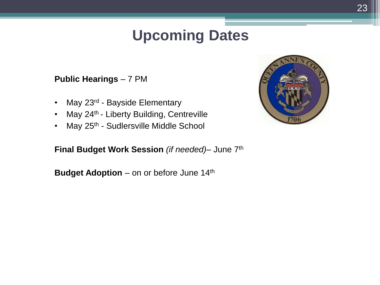#### **Upcoming Dates**

#### **Public Hearings** – 7 PM

- May 23<sup>rd</sup> Bayside Elementary
- May  $24<sup>th</sup>$  Liberty Building, Centreville
- May 25<sup>th</sup> Sudlersville Middle School

**Final Budget Work Session** *(if needed)*– June 7th

**Budget Adoption** – on or before June 14<sup>th</sup>